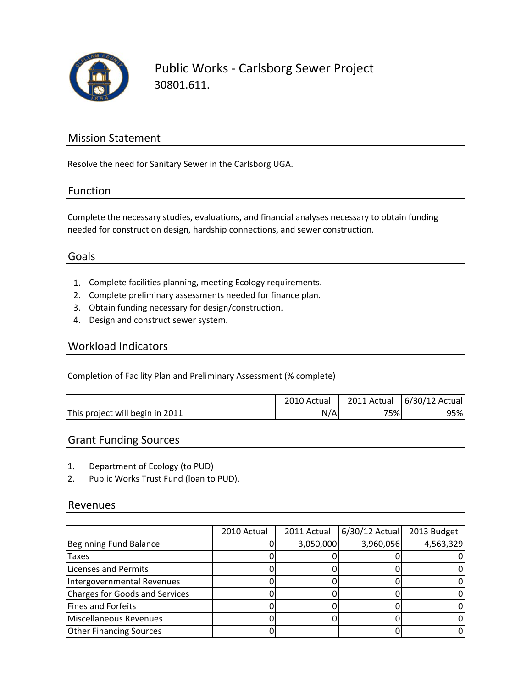

## Mission Statement

Resolve the need for Sanitary Sewer in the Carlsborg UGA.

#### Function

Complete the necessary studies, evaluations, and financial analyses necessary to obtain funding needed for construction design, hardship connections, and sewer construction.

### Goals

- 1. Complete facilities planning, meeting Ecology requirements.
- 2. Complete preliminary assessments needed for finance plan.
- 3. Obtain funding necessary for design/construction.
- 4. Design and construct sewer system.

#### Workload Indicators

Completion of Facility Plan and Preliminary Assessment (% complete)

|                                 | 2010 Actual | 2011 Actual | 6/30/12 Actual |
|---------------------------------|-------------|-------------|----------------|
| This project will begin in 2011 | N/A         | 75%         | 95%l           |

#### Grant Funding Sources

- 1. Department of Ecology (to PUD)
- 2. Public Works Trust Fund (loan to PUD).

#### Revenues

|                                | 2010 Actual | 2011 Actual | $6/30/12$ Actual | 2013 Budget |
|--------------------------------|-------------|-------------|------------------|-------------|
| Beginning Fund Balance         |             | 3,050,000   | 3,960,056        | 4,563,329   |
| <b>Taxes</b>                   |             |             |                  |             |
| Licenses and Permits           |             |             |                  |             |
| Intergovernmental Revenues     |             |             |                  |             |
| Charges for Goods and Services |             |             |                  |             |
| Fines and Forfeits             |             |             |                  |             |
| Miscellaneous Revenues         |             |             |                  |             |
| <b>Other Financing Sources</b> |             |             |                  |             |